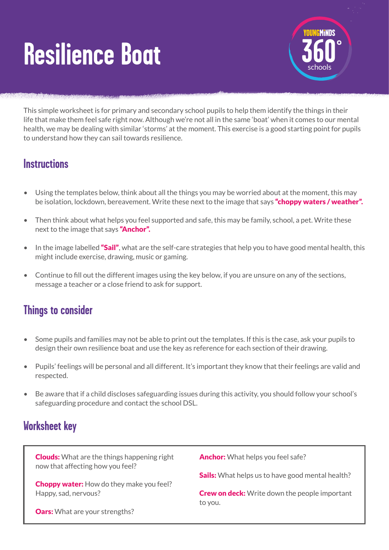# **Resilience Boat**



This simple worksheet is for primary and secondary school pupils to help them identify the things in their life that make them feel safe right now. Although we're not all in the same 'boat' when it comes to our mental health, we may be dealing with similar 'storms' at the moment. This exercise is a good starting point for pupils to understand how they can sail towards resilience.

#### **Instructions**

- Using the templates below, think about all the things you may be worried about at the moment, this may be isolation, lockdown, bereavement. Write these next to the image that says "choppy waters / weather".
- Then think about what helps you feel supported and safe, this may be family, school, a pet. Write these next to the image that says "Anchor".
- $\bullet$  In the image labelled "Sail", what are the self-care strategies that help you to have good mental health, this might include exercise, drawing, music or gaming.
- Continue to fill out the different images using the key below, if you are unsure on any of the sections, message a teacher or a close friend to ask for support.

## **Things to consider**

- Some pupils and families may not be able to print out the templates. If this is the case, ask your pupils to design their own resilience boat and use the key as reference for each section of their drawing.
- Pupils' feelings will be personal and all different. It's important they know that their feelings are valid and respected.
- Be aware that if a child discloses safeguarding issues during this activity, you should follow your school's safeguarding procedure and contact the school DSL.

### **Worksheet key**

**Clouds:** What are the things happening right now that affecting how you feel?

**Choppy water:** How do they make you feel? Happy, sad, nervous?

**Oars:** What are your strengths?

Anchor: What helps you feel safe?

**Sails:** What helps us to have good mental health?

**Crew on deck:** Write down the people important to you.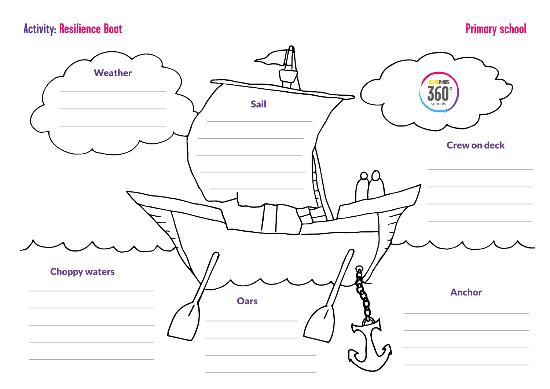# **Activity: Resilience Boat Primary school**